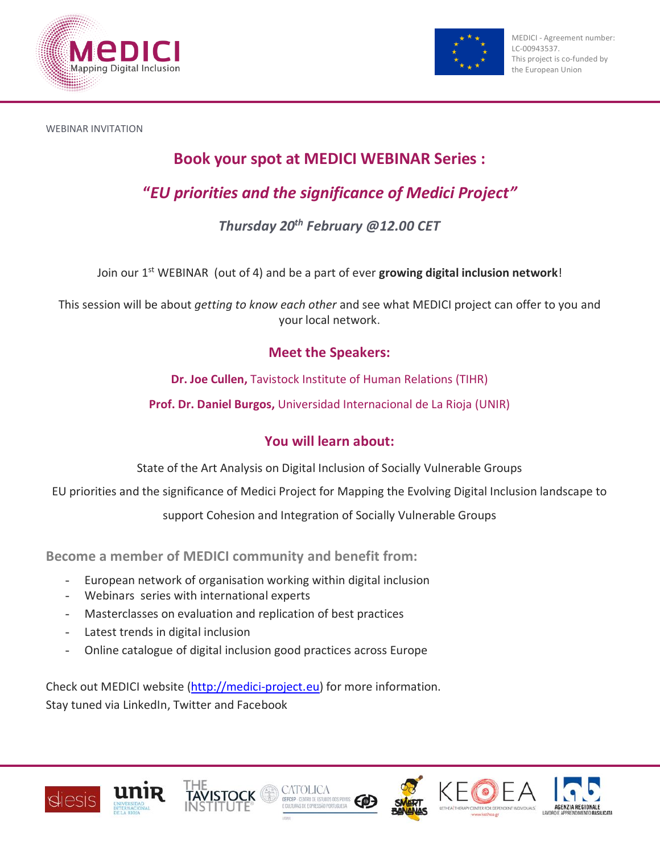



WEBINAR INVITATION

# **Book your spot at MEDICI WEBINAR Series :**

# **"***EU priorities and the significance of Medici Project"*

## *Thursday 20th February @12.00 CET*

Join our 1st WEBINAR (out of 4) and be a part of ever **growing digital inclusion network**!

This session will be about *getting to know each other* and see what MEDICI project can offer to you and your local network.

## **Meet the Speakers:**

**Dr. Joe Cullen,** Tavistock Institute of Human Relations (TIHR)

**Prof. Dr. Daniel Burgos,** Universidad Internacional de La Rioja (UNIR)

## **You will learn about:**

State of the Art Analysis on Digital Inclusion of Socially Vulnerable Groups

EU priorities and the significance of Medici Project for Mapping the Evolving Digital Inclusion landscape to

support Cohesion and Integration of Socially Vulnerable Groups

**Become a member of MEDICI community and benefit from:**

- European network of organisation working within digital inclusion
- Webinars series with international experts
- Masterclasses on evaluation and replication of best practices
- Latest trends in digital inclusion
- Online catalogue of digital inclusion good practices across Europe

Check out MEDICI website [\(http://medici-project.eu\)](http://medici-project.eu/) for more information. Stay tuned via LinkedIn, Twitter and Facebook